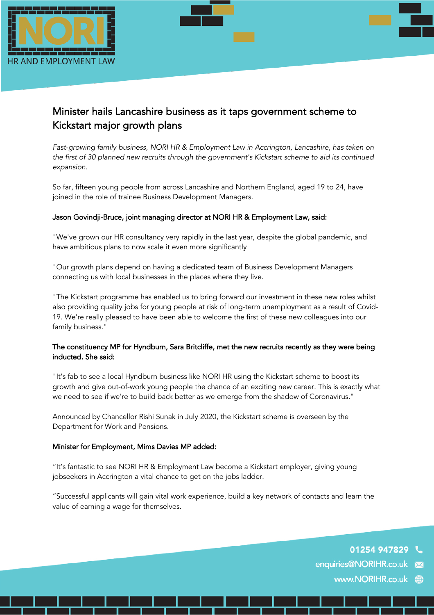



# Minister hails Lancashire business as it taps government scheme to Kickstart major growth plans

*Fast-growing family business, NORI HR & Employment Law in Accrington, Lancashire, has taken on the first of 30 planned new recruits through the government's Kickstart scheme to aid its continued expansion.*

So far, fifteen young people from across Lancashire and Northern England, aged 19 to 24, have joined in the role of trainee Business Development Managers.

# Jason Govindji-Bruce, joint managing director at NORI HR & Employment Law, said:

"We've grown our HR consultancy very rapidly in the last year, despite the global pandemic, and have ambitious plans to now scale it even more significantly

"Our growth plans depend on having a dedicated team of Business Development Managers connecting us with local businesses in the places where they live.

"The Kickstart programme has enabled us to bring forward our investment in these new roles whilst also providing quality jobs for young people at risk of long-term unemployment as a result of Covid-19. We're really pleased to have been able to welcome the first of these new colleagues into our family business."

# The constituency MP for Hyndburn, Sara Britcliffe, met the new recruits recently as they were being inducted. She said:

"It's fab to see a local Hyndburn business like NORI HR using the Kickstart scheme to boost its growth and give out-of-work young people the chance of an exciting new career. This is exactly what we need to see if we're to build back better as we emerge from the shadow of Coronavirus."

Announced by Chancellor Rishi Sunak in July 2020, the Kickstart scheme is overseen by the Department for Work and Pensions.

### Minister for Employment, Mims Davies MP added:

"It's fantastic to see NORI HR & Employment Law become a Kickstart employer, giving young jobseekers in Accrington a vital chance to get on the jobs ladder.

"Successful applicants will gain vital work experience, build a key network of contacts and learn the value of earning a wage for themselves.

01254 947829

enquiries@NORIHR.co.uk

www.NORIHR.co.uk (iii)